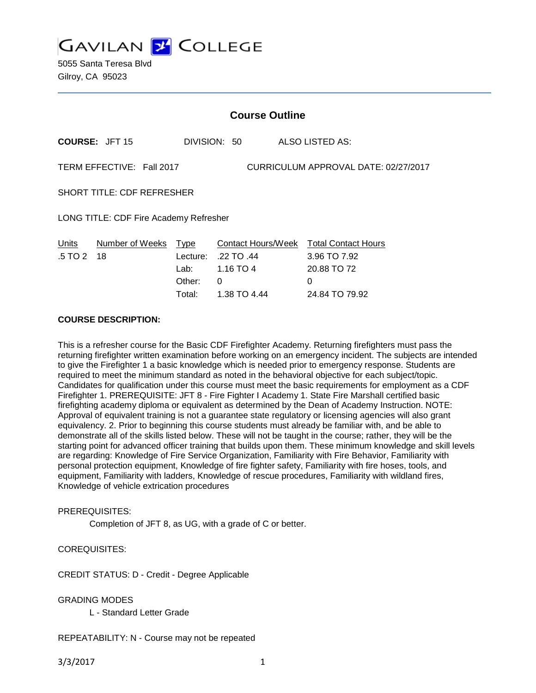

5055 Santa Teresa Blvd Gilroy, CA 95023

| <b>Course Outline</b>                  |                           |                               |                              |                                                                            |  |
|----------------------------------------|---------------------------|-------------------------------|------------------------------|----------------------------------------------------------------------------|--|
|                                        | <b>COURSE: JFT 15</b>     |                               | DIVISION: 50                 | ALSO LISTED AS:                                                            |  |
|                                        | TERM EFFECTIVE: Fall 2017 |                               |                              | CURRICULUM APPROVAL DATE: 02/27/2017                                       |  |
| <b>SHORT TITLE: CDF REFRESHER</b>      |                           |                               |                              |                                                                            |  |
| LONG TITLE: CDF Fire Academy Refresher |                           |                               |                              |                                                                            |  |
| Units<br>$.5 \, \text{T}$ O 2 18       | Number of Weeks Type      | Lecture:<br>Lab: __<br>Other: | .22 TO .44<br>1.16 TO 4<br>0 | Contact Hours/Week Total Contact Hours<br>3.96 TO 7.92<br>20.88 TO 72<br>0 |  |

#### **COURSE DESCRIPTION:**

This is a refresher course for the Basic CDF Firefighter Academy. Returning firefighters must pass the returning firefighter written examination before working on an emergency incident. The subjects are intended to give the Firefighter 1 a basic knowledge which is needed prior to emergency response. Students are required to meet the minimum standard as noted in the behavioral objective for each subject/topic. Candidates for qualification under this course must meet the basic requirements for employment as a CDF Firefighter 1. PREREQUISITE: JFT 8 - Fire Fighter I Academy 1. State Fire Marshall certified basic firefighting academy diploma or equivalent as determined by the Dean of Academy Instruction. NOTE: Approval of equivalent training is not a guarantee state regulatory or licensing agencies will also grant equivalency. 2. Prior to beginning this course students must already be familiar with, and be able to demonstrate all of the skills listed below. These will not be taught in the course; rather, they will be the starting point for advanced officer training that builds upon them. These minimum knowledge and skill levels are regarding: Knowledge of Fire Service Organization, Familiarity with Fire Behavior, Familiarity with personal protection equipment, Knowledge of fire fighter safety, Familiarity with fire hoses, tools, and equipment, Familiarity with ladders, Knowledge of rescue procedures, Familiarity with wildland fires, Knowledge of vehicle extrication procedures

Total: 1.38 TO 4.44 24.84 TO 79.92

#### PREREQUISITES:

Completion of JFT 8, as UG, with a grade of C or better.

### COREQUISITES:

CREDIT STATUS: D - Credit - Degree Applicable

#### GRADING MODES

L - Standard Letter Grade

### REPEATABILITY: N - Course may not be repeated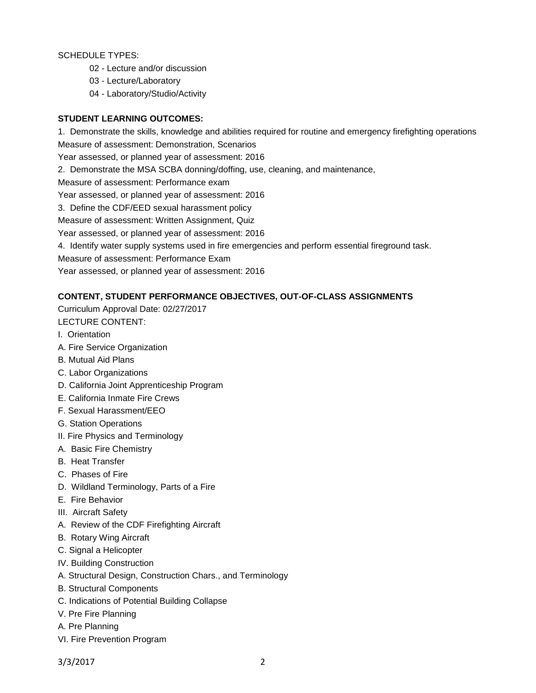SCHEDULE TYPES:

- 02 Lecture and/or discussion
- 03 Lecture/Laboratory
- 04 Laboratory/Studio/Activity

## **STUDENT LEARNING OUTCOMES:**

1. Demonstrate the skills, knowledge and abilities required for routine and emergency firefighting operations Measure of assessment: Demonstration, Scenarios

Year assessed, or planned year of assessment: 2016

2. Demonstrate the MSA SCBA donning/doffing, use, cleaning, and maintenance,

Measure of assessment: Performance exam

Year assessed, or planned year of assessment: 2016

3. Define the CDF/EED sexual harassment policy

Measure of assessment: Written Assignment, Quiz

Year assessed, or planned year of assessment: 2016

4. Identify water supply systems used in fire emergencies and perform essential fireground task.

Measure of assessment: Performance Exam

Year assessed, or planned year of assessment: 2016

# **CONTENT, STUDENT PERFORMANCE OBJECTIVES, OUT-OF-CLASS ASSIGNMENTS**

Curriculum Approval Date: 02/27/2017 LECTURE CONTENT:

- I. Orientation
- A. Fire Service Organization
- B. Mutual Aid Plans
- C. Labor Organizations
- D. California Joint Apprenticeship Program
- E. California Inmate Fire Crews
- F. Sexual Harassment/EEO
- G. Station Operations
- II. Fire Physics and Terminology
- A. Basic Fire Chemistry
- B. Heat Transfer
- C. Phases of Fire
- D. Wildland Terminology, Parts of a Fire
- E. Fire Behavior
- III. Aircraft Safety
- A. Review of the CDF Firefighting Aircraft
- B. Rotary Wing Aircraft
- C. Signal a Helicopter
- IV. Building Construction
- A. Structural Design, Construction Chars., and Terminology
- B. Structural Components
- C. Indications of Potential Building Collapse
- V. Pre Fire Planning
- A. Pre Planning
- VI. Fire Prevention Program

3/3/2017 2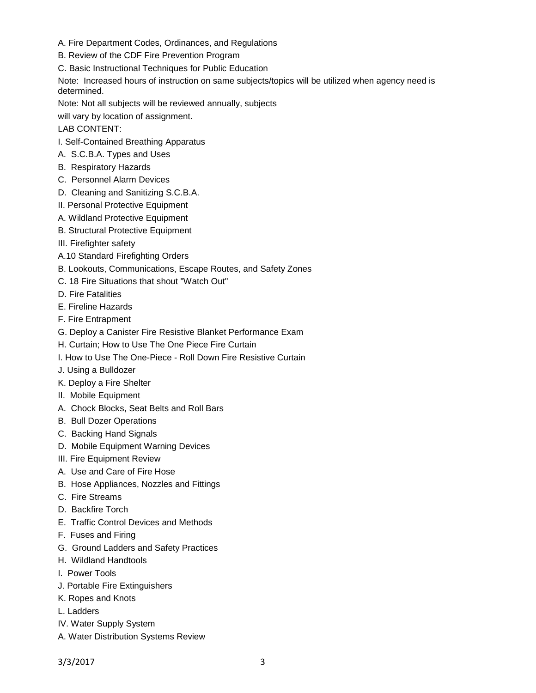- A. Fire Department Codes, Ordinances, and Regulations
- B. Review of the CDF Fire Prevention Program

C. Basic Instructional Techniques for Public Education

Note: Increased hours of instruction on same subjects/topics will be utilized when agency need is determined.

Note: Not all subjects will be reviewed annually, subjects

will vary by location of assignment.

LAB CONTENT:

- I. Self-Contained Breathing Apparatus
- A. S.C.B.A. Types and Uses
- B. Respiratory Hazards
- C. Personnel Alarm Devices
- D. Cleaning and Sanitizing S.C.B.A.
- II. Personal Protective Equipment
- A. Wildland Protective Equipment
- B. Structural Protective Equipment
- III. Firefighter safety
- A.10 Standard Firefighting Orders
- B. Lookouts, Communications, Escape Routes, and Safety Zones
- C. 18 Fire Situations that shout "Watch Out"
- D. Fire Fatalities
- E. Fireline Hazards
- F. Fire Entrapment
- G. Deploy a Canister Fire Resistive Blanket Performance Exam
- H. Curtain; How to Use The One Piece Fire Curtain
- I. How to Use The One-Piece Roll Down Fire Resistive Curtain
- J. Using a Bulldozer
- K. Deploy a Fire Shelter
- II. Mobile Equipment
- A. Chock Blocks, Seat Belts and Roll Bars
- B. Bull Dozer Operations
- C. Backing Hand Signals
- D. Mobile Equipment Warning Devices
- III. Fire Equipment Review
- A. Use and Care of Fire Hose
- B. Hose Appliances, Nozzles and Fittings
- C. Fire Streams
- D. Backfire Torch
- E. Traffic Control Devices and Methods
- F. Fuses and Firing
- G. Ground Ladders and Safety Practices
- H. Wildland Handtools
- I. Power Tools
- J. Portable Fire Extinguishers
- K. Ropes and Knots
- L. Ladders
- IV. Water Supply System
- A. Water Distribution Systems Review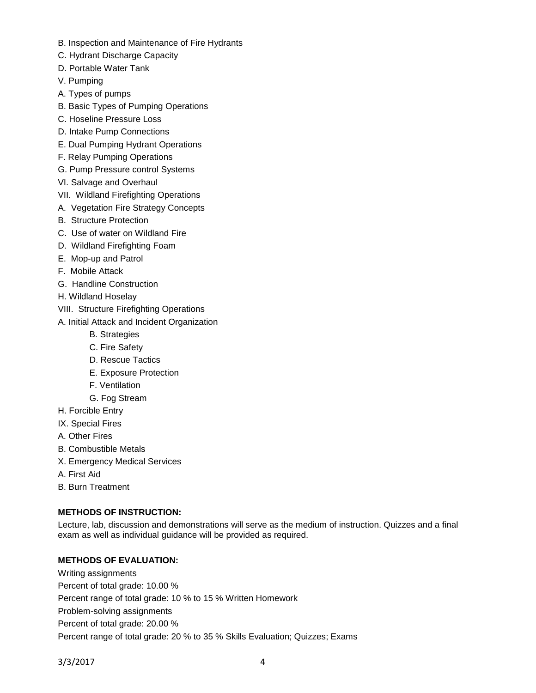- B. Inspection and Maintenance of Fire Hydrants
- C. Hydrant Discharge Capacity
- D. Portable Water Tank
- V. Pumping
- A. Types of pumps
- B. Basic Types of Pumping Operations
- C. Hoseline Pressure Loss
- D. Intake Pump Connections
- E. Dual Pumping Hydrant Operations
- F. Relay Pumping Operations
- G. Pump Pressure control Systems
- VI. Salvage and Overhaul
- VII. Wildland Firefighting Operations
- A. Vegetation Fire Strategy Concepts
- B. Structure Protection
- C. Use of water on Wildland Fire
- D. Wildland Firefighting Foam
- E. Mop-up and Patrol
- F. Mobile Attack
- G. Handline Construction
- H. Wildland Hoselay
- VIII. Structure Firefighting Operations
- A. Initial Attack and Incident Organization
	- B. Strategies
	- C. Fire Safety
	- D. Rescue Tactics
	- E. Exposure Protection
	- F. Ventilation
	- G. Fog Stream
- H. Forcible Entry
- IX. Special Fires
- A. Other Fires
- B. Combustible Metals
- X. Emergency Medical Services
- A. First Aid
- B. Burn Treatment

# **METHODS OF INSTRUCTION:**

Lecture, lab, discussion and demonstrations will serve as the medium of instruction. Quizzes and a final exam as well as individual guidance will be provided as required.

# **METHODS OF EVALUATION:**

Writing assignments Percent of total grade: 10.00 % Percent range of total grade: 10 % to 15 % Written Homework Problem-solving assignments Percent of total grade: 20.00 % Percent range of total grade: 20 % to 35 % Skills Evaluation; Quizzes; Exams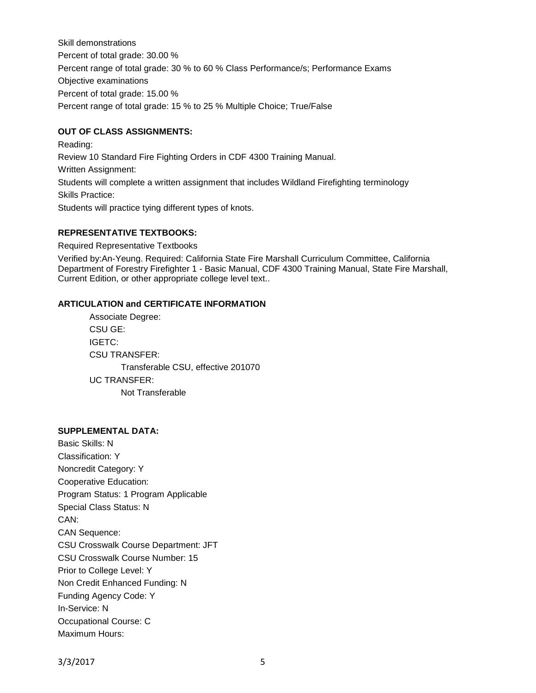Skill demonstrations Percent of total grade: 30.00 % Percent range of total grade: 30 % to 60 % Class Performance/s; Performance Exams Objective examinations Percent of total grade: 15.00 % Percent range of total grade: 15 % to 25 % Multiple Choice; True/False

## **OUT OF CLASS ASSIGNMENTS:**

Reading: Review 10 Standard Fire Fighting Orders in CDF 4300 Training Manual. Written Assignment: Students will complete a written assignment that includes Wildland Firefighting terminology Skills Practice: Students will practice tying different types of knots.

# **REPRESENTATIVE TEXTBOOKS:**

Required Representative Textbooks

Verified by:An-Yeung. Required: California State Fire Marshall Curriculum Committee, California Department of Forestry Firefighter 1 - Basic Manual, CDF 4300 Training Manual, State Fire Marshall, Current Edition, or other appropriate college level text..

# **ARTICULATION and CERTIFICATE INFORMATION**

Associate Degree: CSU GE: IGETC: CSU TRANSFER: Transferable CSU, effective 201070 UC TRANSFER: Not Transferable

### **SUPPLEMENTAL DATA:**

Basic Skills: N Classification: Y Noncredit Category: Y Cooperative Education: Program Status: 1 Program Applicable Special Class Status: N CAN: CAN Sequence: CSU Crosswalk Course Department: JFT CSU Crosswalk Course Number: 15 Prior to College Level: Y Non Credit Enhanced Funding: N Funding Agency Code: Y In-Service: N Occupational Course: C Maximum Hours: